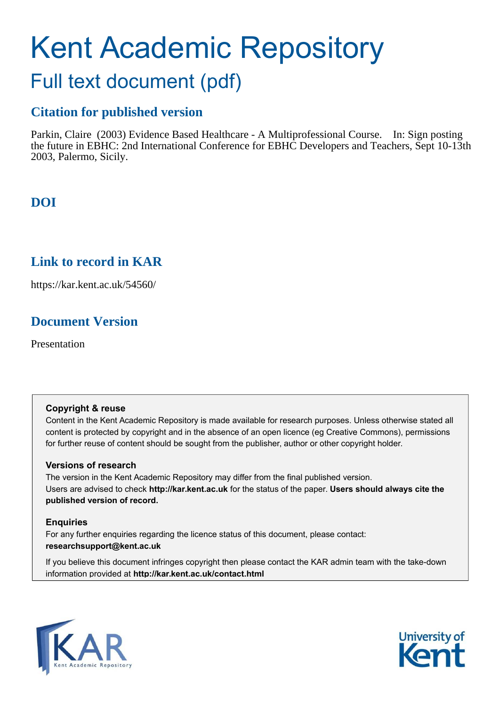## Kent Academic Repository Full text document (pdf)

#### **Citation for published version**

Parkin, Claire (2003) Evidence Based Healthcare - A Multiprofessional Course. In: Sign posting the future in EBHC: 2nd International Conference for EBHC Developers and Teachers, Sept 10-13th 2003, Palermo, Sicily.

### **DOI**

#### **Link to record in KAR**

https://kar.kent.ac.uk/54560/

### **Document Version**

Presentation

#### **Copyright & reuse**

Content in the Kent Academic Repository is made available for research purposes. Unless otherwise stated all content is protected by copyright and in the absence of an open licence (eg Creative Commons), permissions for further reuse of content should be sought from the publisher, author or other copyright holder.

#### **Versions of research**

The version in the Kent Academic Repository may differ from the final published version. Users are advised to check **http://kar.kent.ac.uk** for the status of the paper. **Users should always cite the published version of record.**

#### **Enquiries**

For any further enquiries regarding the licence status of this document, please contact: **researchsupport@kent.ac.uk**

If you believe this document infringes copyright then please contact the KAR admin team with the take-down information provided at **http://kar.kent.ac.uk/contact.html**



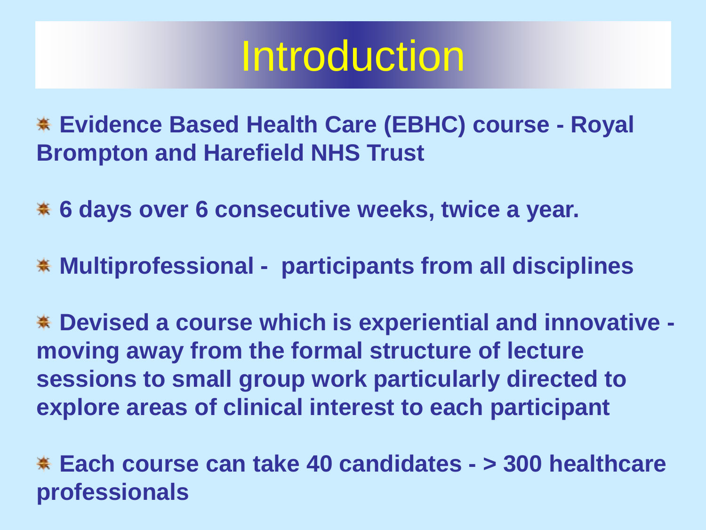# **Introduction**

**Evidence Based Health Care (EBHC) course - Royal Brompton and Harefield NHS Trust**

**6 days over 6 consecutive weeks, twice a year.** 

**Multiprofessional - participants from all disciplines**

**Devised a course which is experiential and innovative moving away from the formal structure of lecture sessions to small group work particularly directed to explore areas of clinical interest to each participant**

**Each course can take 40 candidates - > 300 healthcare professionals**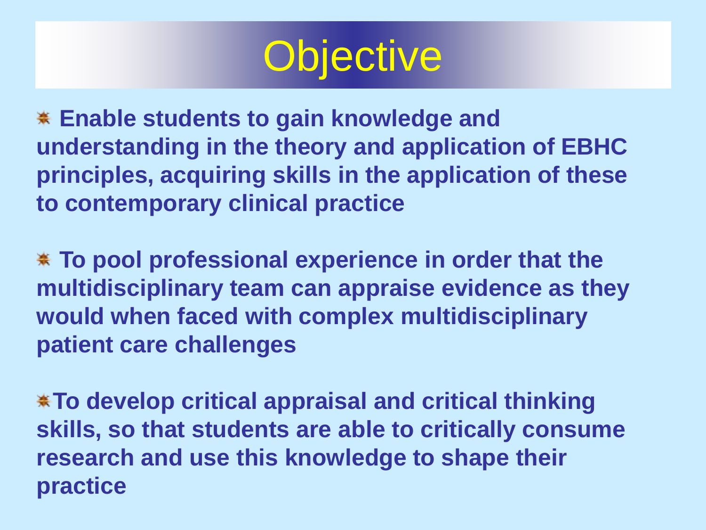

**Enable students to gain knowledge and understanding in the theory and application of EBHC principles, acquiring skills in the application of these to contemporary clinical practice**

**To pool professional experience in order that the multidisciplinary team can appraise evidence as they would when faced with complex multidisciplinary patient care challenges**

**To develop critical appraisal and critical thinking skills, so that students are able to critically consume research and use this knowledge to shape their practice**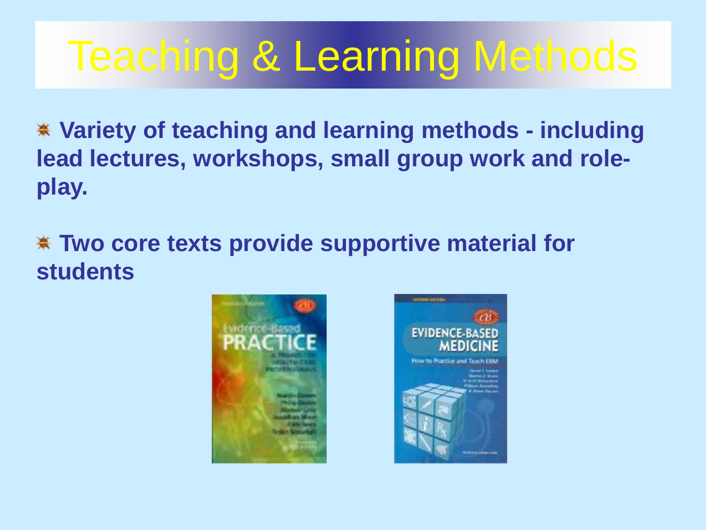# Teaching & Learning Methods

**Variety of teaching and learning methods - including lead lectures, workshops, small group work and roleplay.** 

### **Two core texts provide supportive material for students**



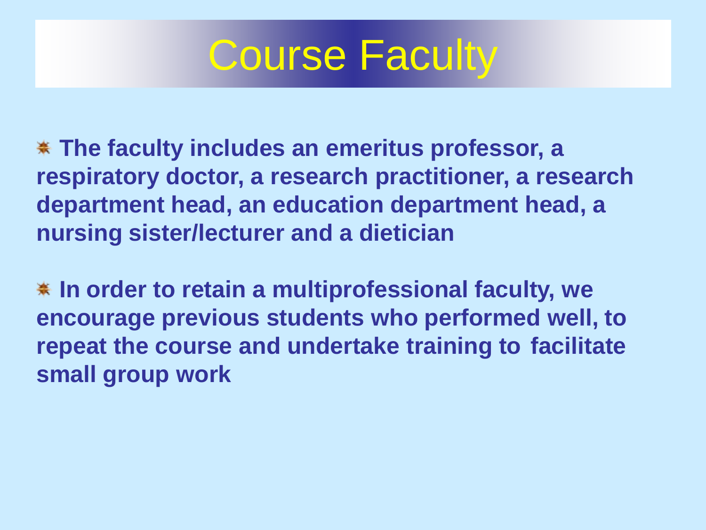

**The faculty includes an emeritus professor, a respiratory doctor, a research practitioner, a research department head, an education department head, a nursing sister/lecturer and a dietician**

**In order to retain a multiprofessional faculty, we encourage previous students who performed well, to repeat the course and undertake training to facilitate small group work**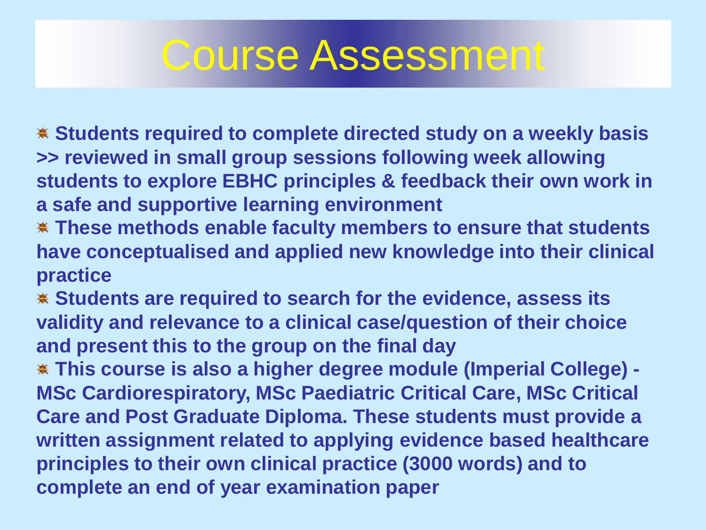# Course Assessment

**Students required to complete directed study on a weekly basis >> reviewed in small group sessions following week allowing students to explore EBHC principles & feedback their own work in a safe and supportive learning environment**

- **These methods enable faculty members to ensure that students have conceptualised and applied new knowledge into their clinical practice**
- **Students are required to search for the evidence, assess its validity and relevance to a clinical case/question of their choice and present this to the group on the final day**
- **This course is also a higher degree module (Imperial College) MSc Cardiorespiratory, MSc Paediatric Critical Care, MSc Critical Care and Post Graduate Diploma. These students must provide a written assignment related to applying evidence based healthcare principles to their own clinical practice (3000 words) and to complete an end of year examination paper**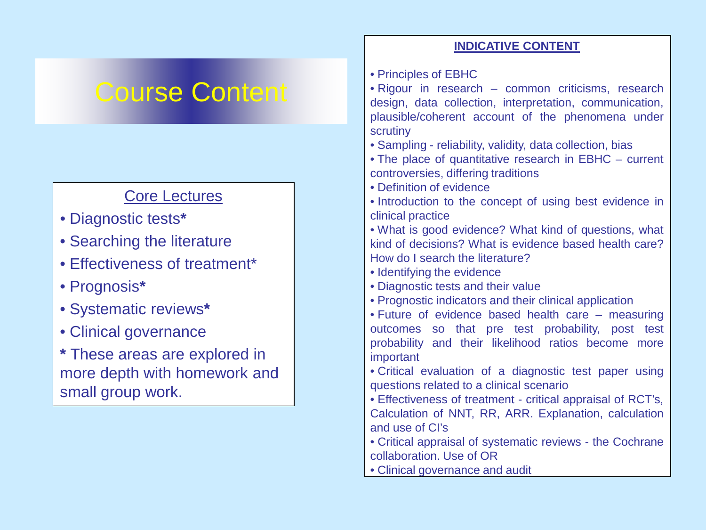## Course Content

### Core Lectures

- Diagnostic tests**\***
- Searching the literature
- Effectiveness of treatment\*
- Prognosis**\***
- Systematic reviews**\***
- Clinical governance
- **\*** These areas are explored in more depth with homework and small group work.
- Principles of EBHC
- Rigour in research common criticisms, research design, data collection, interpretation, communication, plausible/coherent account of the phenomena under scrutiny
- Sampling reliability, validity, data collection, bias
- The place of quantitative research in EBHC current controversies, differing traditions
- Definition of evidence
- Introduction to the concept of using best evidence in clinical practice
- What is good evidence? What kind of questions, what kind of decisions? What is evidence based health care? How do I search the literature?
- Identifying the evidence
- Diagnostic tests and their value
- Prognostic indicators and their clinical application
- Future of evidence based health care measuring outcomes so that pre test probability, post test probability and their likelihood ratios become more important
- Critical evaluation of a diagnostic test paper using questions related to a clinical scenario
- Effectiveness of treatment critical appraisal of RCT's, Calculation of NNT, RR, ARR. Explanation, calculation and use of CI's
- Critical appraisal of systematic reviews the Cochrane collaboration. Use of OR
- Clinical governance and audit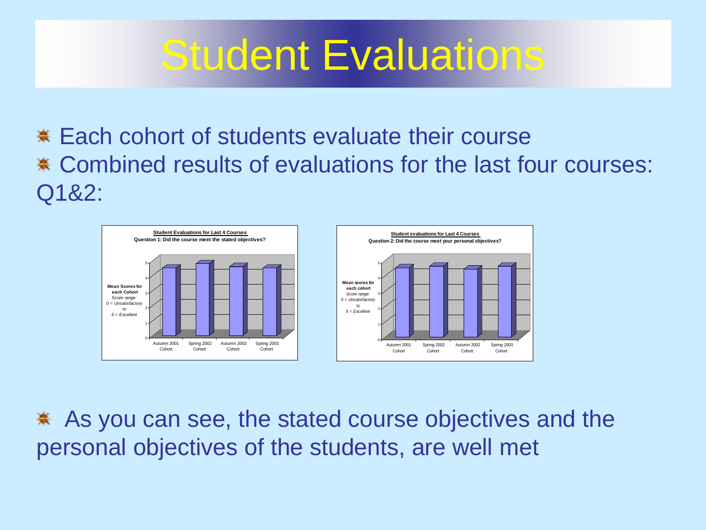# Student Evaluations

\* Each cohort of students evaluate their course \* Combined results of evaluations for the last four courses: Q1&2:



 As you can see, the stated course objectives and the personal objectives of the students, are well met